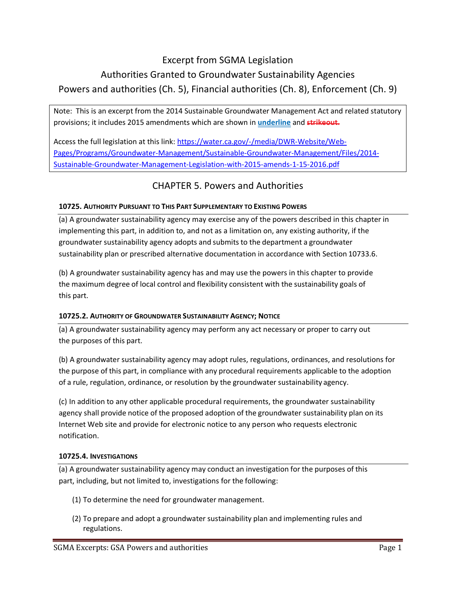### Excerpt from SGMA Legislation

# Authorities Granted to Groundwater Sustainability Agencies Powers and authorities (Ch. 5), Financial authorities (Ch. 8), Enforcement (Ch. 9)

Note: This is an excerpt from the 2014 Sustainable Groundwater Management Act and related statutory provisions; it includes 2015 amendments which are shown in **underline** and **strikeout.**

Access the full legislation at this link: [https://water.ca.gov/-/media/DWR-Website/Web-](https://water.ca.gov/-/media/DWR-Website/Web-Pages/Programs/Groundwater-Management/Sustainable-Groundwater-Management/Files/2014-Sustainable-Groundwater-Management-Legislation-with-2015-amends-1-15-2016.pdf)[Pages/Programs/Groundwater-Management/Sustainable-Groundwater-Management/Files/2014-](https://water.ca.gov/-/media/DWR-Website/Web-Pages/Programs/Groundwater-Management/Sustainable-Groundwater-Management/Files/2014-Sustainable-Groundwater-Management-Legislation-with-2015-amends-1-15-2016.pdf) [Sustainable-Groundwater-Management-Legislation-with-2015-amends-1-15-2016.pdf](https://water.ca.gov/-/media/DWR-Website/Web-Pages/Programs/Groundwater-Management/Sustainable-Groundwater-Management/Files/2014-Sustainable-Groundwater-Management-Legislation-with-2015-amends-1-15-2016.pdf)

# CHAPTER 5. Powers and Authorities

#### **10725. AUTHORITY PURSUANT TO THIS PART SUPPLEMENTARY TO EXISTING POWERS**

(a) A groundwater sustainability agency may exercise any of the powers described in this chapter in implementing this part, in addition to, and not as a limitation on, any existing authority, if the groundwater sustainability agency adopts and submitsto the department a groundwater sustainability plan or prescribed alternative documentation in accordance with Section 10733.6.

(b) A groundwater sustainability agency has and may use the powers in this chapter to provide the maximum degree of local control and flexibility consistent with the sustainability goals of this part.

### **10725.2. AUTHORITY OF GROUNDWATER SUSTAINABILITY AGENCY; NOTICE**

(a) A groundwater sustainability agency may perform any act necessary or proper to carry out the purposes of this part.

(b) A groundwater sustainability agency may adopt rules, regulations, ordinances, and resolutions for the purpose of this part, in compliance with any procedural requirements applicable to the adoption of a rule, regulation, ordinance, or resolution by the groundwater sustainability agency.

(c) In addition to any other applicable procedural requirements, the groundwater sustainability agency shall provide notice of the proposed adoption of the groundwater sustainability plan on its Internet Web site and provide for electronic notice to any person who requests electronic notification.

#### **10725.4. INVESTIGATIONS**

(a) A groundwater sustainability agency may conduct an investigation for the purposes of this part, including, but not limited to, investigations for the following:

- (1) To determine the need for groundwater management.
- (2) To prepare and adopt a groundwater sustainability plan and implementing rules and regulations.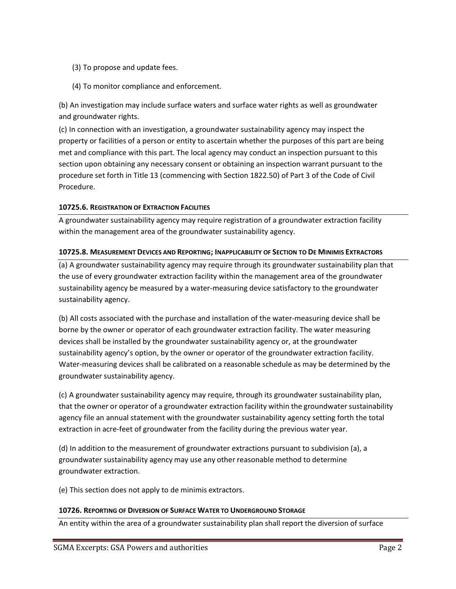- (3) To propose and update fees.
- (4) To monitor compliance and enforcement.

(b) An investigation may include surface waters and surface water rights as well as groundwater and groundwater rights.

(c) In connection with an investigation, a groundwater sustainability agency may inspect the property or facilities of a person or entity to ascertain whether the purposes of this part are being met and compliance with this part. The local agency may conduct an inspection pursuant to this section upon obtaining any necessary consent or obtaining an inspection warrant pursuant to the procedure set forth in Title 13 (commencing with Section 1822.50) of Part 3 of the Code of Civil Procedure.

#### **10725.6. REGISTRATION OF EXTRACTION FACILITIES**

A groundwater sustainability agency may require registration of a groundwater extraction facility within the management area of the groundwater sustainability agency.

#### **10725.8. MEASUREMENT DEVICES AND REPORTING; INAPPLICABILITY OF SECTION TO DE MINIMIS EXTRACTORS**

(a) A groundwater sustainability agency may require through its groundwater sustainability plan that the use of every groundwater extraction facility within the management area of the groundwater sustainability agency be measured by a water-measuring device satisfactory to the groundwater sustainability agency.

(b) All costs associated with the purchase and installation of the water-measuring device shall be borne by the owner or operator of each groundwater extraction facility. The water measuring devices shall be installed by the groundwater sustainability agency or, at the groundwater sustainability agency's option, by the owner or operator of the groundwater extraction facility. Water-measuring devices shall be calibrated on a reasonable schedule as may be determined by the groundwater sustainability agency.

(c) A groundwater sustainability agency may require, through its groundwater sustainability plan, that the owner or operator of a groundwater extraction facility within the groundwater sustainability agency file an annual statement with the groundwater sustainability agency setting forth the total extraction in acre-feet of groundwater from the facility during the previous water year.

(d) In addition to the measurement of groundwater extractions pursuant to subdivision (a), a groundwater sustainability agency may use any other reasonable method to determine groundwater extraction.

(e) This section does not apply to de minimis extractors.

#### **10726. REPORTING OF DIVERSION OF SURFACE WATER TO UNDERGROUND STORAGE**

An entity within the area of a groundwater sustainability plan shall report the diversion of surface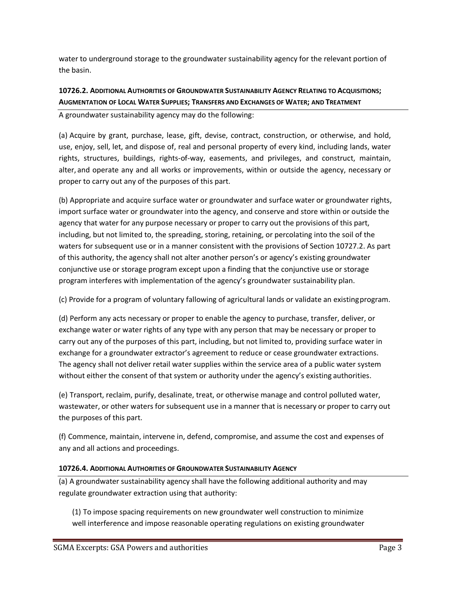water to underground storage to the groundwater sustainability agency for the relevant portion of the basin.

### **10726.2. ADDITIONAL AUTHORITIES OF GROUNDWATER SUSTAINABILITY AGENCY RELATING TO ACQUISITIONS; AUGMENTATION OF LOCAL WATER SUPPLIES; TRANSFERS AND EXCHANGES OF WATER; AND TREATMENT**

A groundwater sustainability agency may do the following:

(a) Acquire by grant, purchase, lease, gift, devise, contract, construction, or otherwise, and hold, use, enjoy, sell, let, and dispose of, real and personal property of every kind, including lands, water rights, structures, buildings, rights-of-way, easements, and privileges, and construct, maintain, alter, and operate any and all works or improvements, within or outside the agency, necessary or proper to carry out any of the purposes of this part.

(b) Appropriate and acquire surface water or groundwater and surface water or groundwater rights, import surface water or groundwater into the agency, and conserve and store within or outside the agency that water for any purpose necessary or proper to carry out the provisions of this part, including, but not limited to, the spreading, storing, retaining, or percolating into the soil of the waters for subsequent use or in a manner consistent with the provisions of Section 10727.2. As part of this authority, the agency shall not alter another person's or agency's existing groundwater conjunctive use or storage program except upon a finding that the conjunctive use or storage program interferes with implementation of the agency's groundwater sustainability plan.

(c) Provide for a program of voluntary fallowing of agricultural lands or validate an existingprogram.

(d) Perform any acts necessary or proper to enable the agency to purchase, transfer, deliver, or exchange water or water rights of any type with any person that may be necessary or proper to carry out any of the purposes of this part, including, but not limited to, providing surface water in exchange for a groundwater extractor's agreement to reduce or cease groundwater extractions. The agency shall not deliver retail water supplies within the service area of a public water system without either the consent of that system or authority under the agency's existing authorities.

(e) Transport, reclaim, purify, desalinate, treat, or otherwise manage and control polluted water, wastewater, or other waters for subsequent use in a manner that is necessary or proper to carry out the purposes of this part.

(f) Commence, maintain, intervene in, defend, compromise, and assume the cost and expenses of any and all actions and proceedings.

#### **10726.4. ADDITIONAL AUTHORITIES OF GROUNDWATER SUSTAINABILITY AGENCY**

(a) A groundwater sustainability agency shall have the following additional authority and may regulate groundwater extraction using that authority:

(1) To impose spacing requirements on new groundwater well construction to minimize well interference and impose reasonable operating regulations on existing groundwater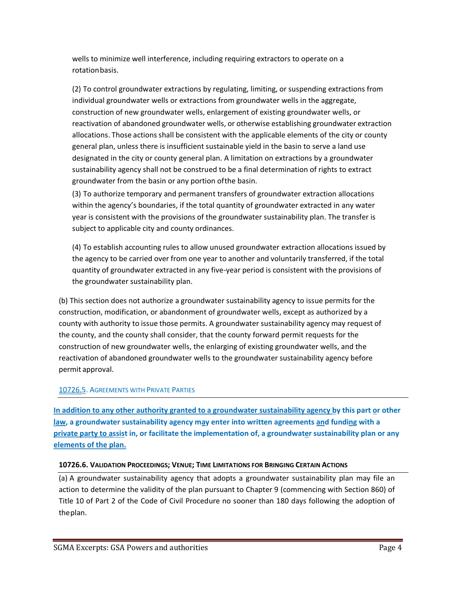wells to minimize well interference, including requiring extractors to operate on a rotationbasis.

(2) To control groundwater extractions by regulating, limiting, or suspending extractions from individual groundwater wells or extractions from groundwater wells in the aggregate, construction of new groundwater wells, enlargement of existing groundwater wells, or reactivation of abandoned groundwater wells, or otherwise establishing groundwater extraction allocations. Those actions shall be consistent with the applicable elements of the city or county general plan, unless there is insufficient sustainable yield in the basin to serve a land use designated in the city or county general plan. A limitation on extractions by a groundwater sustainability agency shall not be construed to be a final determination of rights to extract groundwater from the basin or any portion ofthe basin.

(3) To authorize temporary and permanent transfers of groundwater extraction allocations within the agency's boundaries, if the total quantity of groundwater extracted in any water year is consistent with the provisions of the groundwater sustainability plan. The transfer is subject to applicable city and county ordinances.

(4) To establish accounting rules to allow unused groundwater extraction allocations issued by the agency to be carried over from one year to another and voluntarily transferred, if the total quantity of groundwater extracted in any five-year period is consistent with the provisions of the groundwater sustainability plan.

(b) This section does not authorize a groundwater sustainability agency to issue permits for the construction, modification, or abandonment of groundwater wells, except as authorized by a county with authority to issue those permits. A groundwater sustainability agency may request of the county, and the county shall consider, that the county forward permit requests for the construction of new groundwater wells, the enlarging of existing groundwater wells, and the reactivation of abandoned groundwater wells to the groundwater sustainability agency before permit approval.

#### 10726.5. AGREEMENTS WITH PRIVATE PARTIES

**In addition to any other authority granted to a groundwater sustainability agency by this part or other law**, a groundwater sustainability agency may enter into written agreements and funding with a **private party to assist in, or facilitate the implementation of, a groundwater sustainability plan or any elements of the plan.**

#### **10726.6. VALIDATION PROCEEDINGS; VENUE; TIME LIMITATIONS FOR BRINGING CERTAIN ACTIONS**

(a) A groundwater sustainability agency that adopts a groundwater sustainability plan may file an action to determine the validity of the plan pursuant to Chapter 9 (commencing with Section 860) of Title 10 of Part 2 of the Code of Civil Procedure no sooner than 180 days following the adoption of theplan.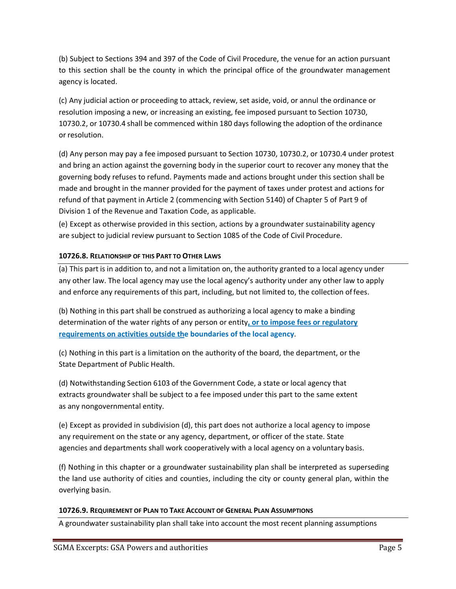(b) Subject to Sections 394 and 397 of the Code of Civil Procedure, the venue for an action pursuant to this section shall be the county in which the principal office of the groundwater management agency is located.

(c) Any judicial action or proceeding to attack, review, set aside, void, or annul the ordinance or resolution imposing a new, or increasing an existing, fee imposed pursuant to Section 10730, 10730.2, or 10730.4 shall be commenced within 180 days following the adoption of the ordinance or resolution.

(d) Any person may pay a fee imposed pursuant to Section 10730, 10730.2, or 10730.4 under protest and bring an action against the governing body in the superior court to recover any money that the governing body refuses to refund. Payments made and actions brought under this section shall be made and brought in the manner provided for the payment of taxes under protest and actions for refund of that payment in Article 2 (commencing with Section 5140) of Chapter 5 of Part 9 of Division 1 of the Revenue and Taxation Code, as applicable.

(e) Except as otherwise provided in this section, actions by a groundwater sustainability agency are subject to judicial review pursuant to Section 1085 of the Code of Civil Procedure.

#### **10726.8. RELATIONSHIP OF THIS PART TO OTHER LAWS**

(a) This part is in addition to, and not a limitation on, the authority granted to a local agency under any other law. The local agency may use the local agency's authority under any other law to apply and enforce any requirements of this part, including, but not limited to, the collection offees.

(b) Nothing in this part shall be construed as authorizing a local agency to make a binding determination of the water rights of any person or entity**, or to impose fees or regulatory requirements on activities outside the boundaries of the local agency**.

(c) Nothing in this part is a limitation on the authority of the board, the department, or the State Department of Public Health.

(d) Notwithstanding Section 6103 of the Government Code, a state or local agency that extracts groundwater shall be subject to a fee imposed under this part to the same extent as any nongovernmental entity.

(e) Except as provided in subdivision (d), this part does not authorize a local agency to impose any requirement on the state or any agency, department, or officer of the state. State agencies and departments shall work cooperatively with a local agency on a voluntary basis.

(f) Nothing in this chapter or a groundwater sustainability plan shall be interpreted as superseding the land use authority of cities and counties, including the city or county general plan, within the overlying basin.

#### **10726.9. REQUIREMENT OF PLAN TO TAKE ACCOUNT OF GENERAL PLAN ASSUMPTIONS**

A groundwater sustainability plan shall take into account the most recent planning assumptions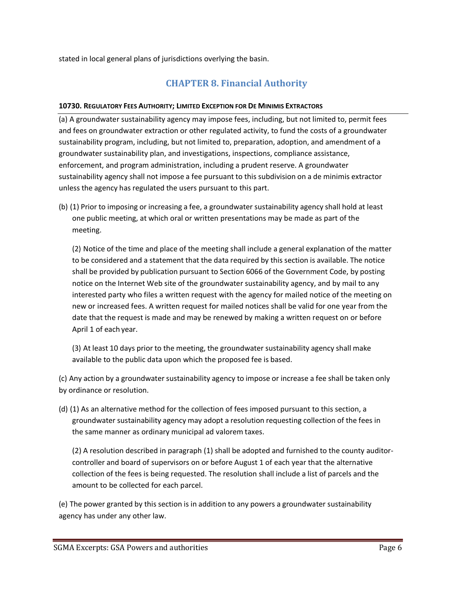stated in local general plans of jurisdictions overlying the basin.

### **CHAPTER 8. Financial Authority**

#### **10730. REGULATORY FEES AUTHORITY; LIMITED EXCEPTION FOR DE MINIMIS EXTRACTORS**

(a) A groundwater sustainability agency may impose fees, including, but not limited to, permit fees and fees on groundwater extraction or other regulated activity, to fund the costs of a groundwater sustainability program, including, but not limited to, preparation, adoption, and amendment of a groundwater sustainability plan, and investigations, inspections, compliance assistance, enforcement, and program administration, including a prudent reserve. A groundwater sustainability agency shall not impose a fee pursuant to this subdivision on a de minimis extractor unless the agency has regulated the users pursuant to this part.

(b) (1) Prior to imposing or increasing a fee, a groundwater sustainability agency shall hold at least one public meeting, at which oral or written presentations may be made as part of the meeting.

(2) Notice of the time and place of the meeting shall include a general explanation of the matter to be considered and a statement that the data required by this section is available. The notice shall be provided by publication pursuant to Section 6066 of the Government Code, by posting notice on the Internet Web site of the groundwater sustainability agency, and by mail to any interested party who files a written request with the agency for mailed notice of the meeting on new or increased fees. A written request for mailed notices shall be valid for one year from the date that the request is made and may be renewed by making a written request on or before April 1 of each year.

(3) At least 10 days prior to the meeting, the groundwater sustainability agency shall make available to the public data upon which the proposed fee is based.

(c) Any action by a groundwater sustainability agency to impose or increase a fee shall be taken only by ordinance or resolution.

(d) (1) As an alternative method for the collection of fees imposed pursuant to this section, a groundwater sustainability agency may adopt a resolution requesting collection of the fees in the same manner as ordinary municipal ad valorem taxes.

(2) A resolution described in paragraph (1) shall be adopted and furnished to the county auditorcontroller and board of supervisors on or before August 1 of each year that the alternative collection of the fees is being requested. The resolution shall include a list of parcels and the amount to be collected for each parcel.

(e) The power granted by this section is in addition to any powers a groundwater sustainability agency has under any other law.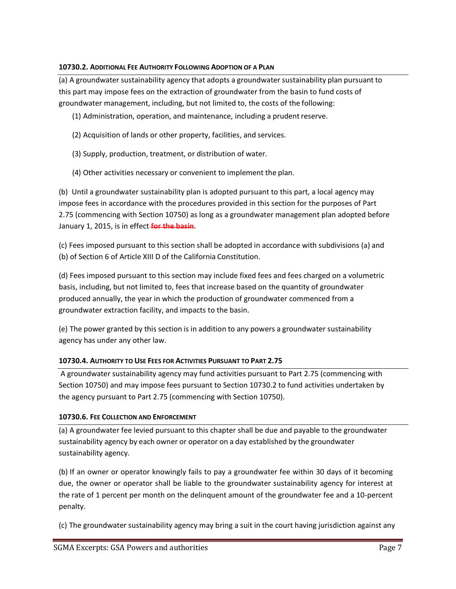#### **10730.2. ADDITIONAL FEE AUTHORITY FOLLOWING ADOPTION OF A PLAN**

(a) A groundwater sustainability agency that adopts a groundwater sustainability plan pursuant to this part may impose fees on the extraction of groundwater from the basin to fund costs of groundwater management, including, but not limited to, the costs of the following:

- (1) Administration, operation, and maintenance, including a prudentreserve.
- (2) Acquisition of lands or other property, facilities, and services.
- (3) Supply, production, treatment, or distribution of water.
- (4) Other activities necessary or convenient to implement the plan.

(b) Until a groundwater sustainability plan is adopted pursuant to this part, a local agency may impose fees in accordance with the procedures provided in this section for the purposes of Part 2.75 (commencing with Section 10750) as long as a groundwater management plan adopted before January 1, 2015, is in effect **for the basin**.

(c) Fees imposed pursuant to this section shall be adopted in accordance with subdivisions (a) and (b) of Section 6 of Article XIII D of the California Constitution.

(d) Fees imposed pursuant to this section may include fixed fees and fees charged on a volumetric basis, including, but not limited to, fees that increase based on the quantity of groundwater produced annually, the year in which the production of groundwater commenced from a groundwater extraction facility, and impacts to the basin.

(e) The power granted by this section is in addition to any powers a groundwater sustainability agency has under any other law.

### **10730.4. AUTHORITY TO USE FEES FOR ACTIVITIES PURSUANT TO PART 2.75**

A groundwater sustainability agency may fund activities pursuant to Part 2.75 (commencing with Section 10750) and may impose fees pursuant to Section 10730.2 to fund activities undertaken by the agency pursuant to Part 2.75 (commencing with Section 10750).

### **10730.6. FEE COLLECTION AND ENFORCEMENT**

(a) A groundwater fee levied pursuant to this chapter shall be due and payable to the groundwater sustainability agency by each owner or operator on a day established by the groundwater sustainability agency.

(b) If an owner or operator knowingly fails to pay a groundwater fee within 30 days of it becoming due, the owner or operator shall be liable to the groundwater sustainability agency for interest at the rate of 1 percent per month on the delinquent amount of the groundwater fee and a 10-percent penalty.

(c) The groundwater sustainability agency may bring a suit in the court having jurisdiction against any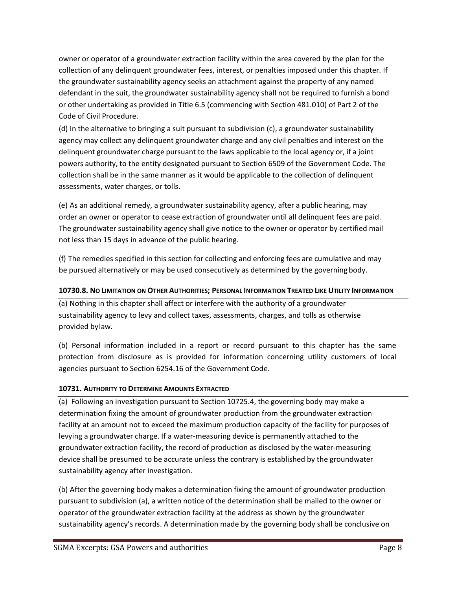owner or operator of a groundwater extraction facility within the area covered by the plan for the collection of any delinquent groundwater fees, interest, or penalties imposed under this chapter. If the groundwater sustainability agency seeks an attachment against the property of any named defendant in the suit, the groundwater sustainability agency shall not be required to furnish a bond or other undertaking as provided in Title 6.5 (commencing with Section 481.010) of Part 2 of the Code of Civil Procedure.

(d) In the alternative to bringing a suit pursuant to subdivision (c), a groundwater sustainability agency may collect any delinquent groundwater charge and any civil penalties and interest on the delinquent groundwater charge pursuant to the laws applicable to the local agency or, if a joint powers authority, to the entity designated pursuant to Section 6509 of the Government Code. The collection shall be in the same manner as it would be applicable to the collection of delinquent assessments, water charges, or tolls.

(e) As an additional remedy, a groundwater sustainability agency, after a public hearing, may order an owner or operator to cease extraction of groundwater until all delinquent fees are paid. The groundwater sustainability agency shall give notice to the owner or operator by certified mail not less than 15 days in advance of the public hearing.

(f) The remedies specified in this section for collecting and enforcing fees are cumulative and may be pursued alternatively or may be used consecutively as determined by the governing body.

#### **10730.8. NO LIMITATION ON OTHER AUTHORITIES; PERSONAL INFORMATION TREATED LIKE UTILITY INFORMATION**

(a) Nothing in this chapter shall affect or interfere with the authority of a groundwater sustainability agency to levy and collect taxes, assessments, charges, and tolls as otherwise provided bylaw.

(b) Personal information included in a report or record pursuant to this chapter has the same protection from disclosure as is provided for information concerning utility customers of local agencies pursuant to Section 6254.16 of the Government Code.

### **10731. AUTHORITY TO DETERMINE AMOUNTS EXTRACTED**

(a) Following an investigation pursuant to Section 10725.4, the governing body may make a determination fixing the amount of groundwater production from the groundwater extraction facility at an amount not to exceed the maximum production capacity of the facility for purposes of levying a groundwater charge. If a water-measuring device is permanently attached to the groundwater extraction facility, the record of production as disclosed by the water-measuring device shall be presumed to be accurate unless the contrary is established by the groundwater sustainability agency after investigation.

(b) After the governing body makes a determination fixing the amount of groundwater production pursuant to subdivision (a), a written notice of the determination shall be mailed to the owner or operator of the groundwater extraction facility at the address as shown by the groundwater sustainability agency's records. A determination made by the governing body shall be conclusive on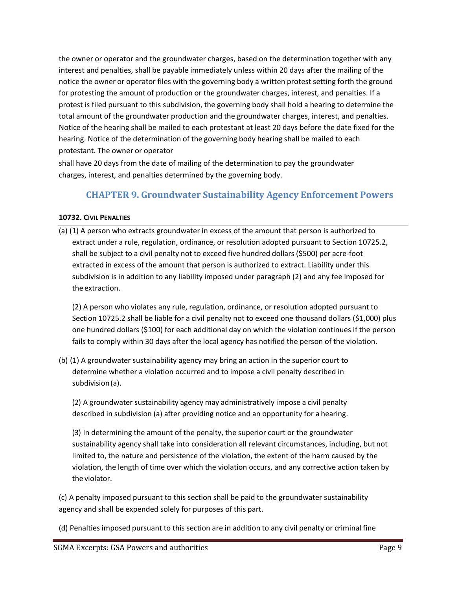the owner or operator and the groundwater charges, based on the determination together with any interest and penalties, shall be payable immediately unless within 20 days after the mailing of the notice the owner or operator files with the governing body a written protest setting forth the ground for protesting the amount of production or the groundwater charges, interest, and penalties. If a protest is filed pursuant to this subdivision, the governing body shall hold a hearing to determine the total amount of the groundwater production and the groundwater charges, interest, and penalties. Notice of the hearing shall be mailed to each protestant at least 20 days before the date fixed for the hearing. Notice of the determination of the governing body hearing shall be mailed to each protestant. The owner or operator

shall have 20 days from the date of mailing of the determination to pay the groundwater charges, interest, and penalties determined by the governing body.

## **CHAPTER 9. Groundwater Sustainability Agency Enforcement Powers**

#### **10732. CIVIL PENALTIES**

(a) (1) A person who extracts groundwater in excess of the amount that person is authorized to extract under a rule, regulation, ordinance, or resolution adopted pursuant to Section 10725.2, shall be subject to a civil penalty not to exceed five hundred dollars (\$500) per acre-foot extracted in excess of the amount that person is authorized to extract. Liability under this subdivision is in addition to any liability imposed under paragraph (2) and any fee imposed for the extraction.

(2) A person who violates any rule, regulation, ordinance, or resolution adopted pursuant to Section 10725.2 shall be liable for a civil penalty not to exceed one thousand dollars (\$1,000) plus one hundred dollars (\$100) for each additional day on which the violation continues if the person fails to comply within 30 days after the local agency has notified the person of the violation.

(b) (1) A groundwater sustainability agency may bring an action in the superior court to determine whether a violation occurred and to impose a civil penalty described in subdivision(a).

(2) A groundwater sustainability agency may administratively impose a civil penalty described in subdivision (a) after providing notice and an opportunity for a hearing.

(3) In determining the amount of the penalty, the superior court or the groundwater sustainability agency shall take into consideration all relevant circumstances, including, but not limited to, the nature and persistence of the violation, the extent of the harm caused by the violation, the length of time over which the violation occurs, and any corrective action taken by the violator.

(c) A penalty imposed pursuant to this section shall be paid to the groundwater sustainability agency and shall be expended solely for purposes of this part.

(d) Penalties imposed pursuant to this section are in addition to any civil penalty or criminal fine